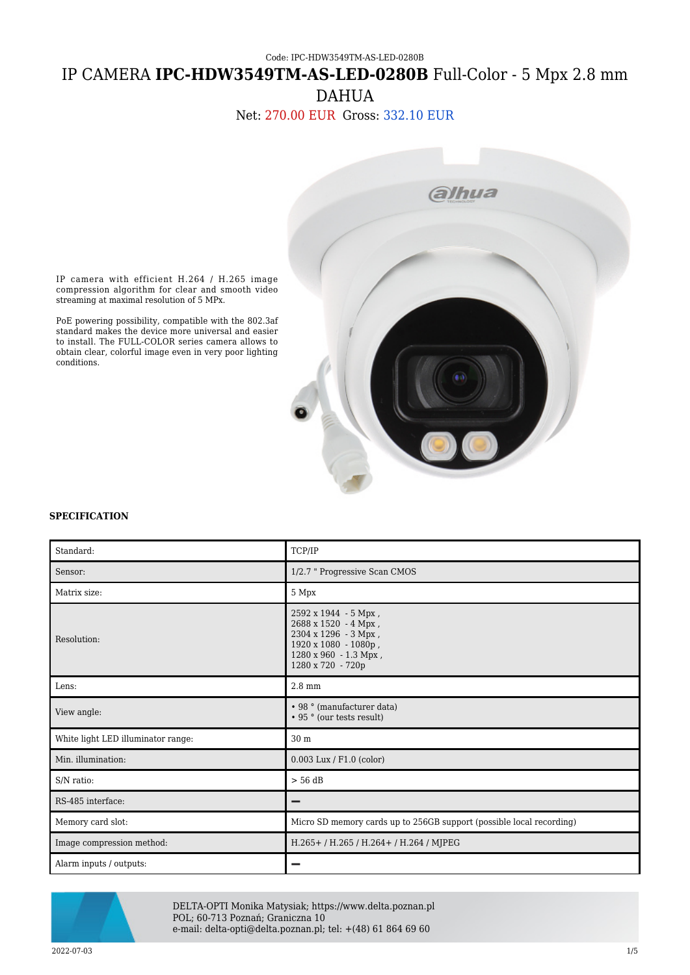Code: IPC-HDW3549TM-AS-LED-0280B IP CAMERA **IPC-HDW3549TM-AS-LED-0280B** Full-Color - 5 Mpx 2.8 mm DAHUA

Net: 270.00 EUR Gross: 332.10 EUR



IP camera with efficient H.264 / H.265 image compression algorithm for clear and smooth video streaming at maximal resolution of 5 MPx.

PoE powering possibility, compatible with the 802.3af standard makes the device more universal and easier to install. The FULL-COLOR series camera allows to obtain clear, colorful image even in very poor lighting conditions.

## **SPECIFICATION**

| Standard:                          | TCP/IP                                                                                                                                     |
|------------------------------------|--------------------------------------------------------------------------------------------------------------------------------------------|
| Sensor:                            | 1/2.7 " Progressive Scan CMOS                                                                                                              |
| Matrix size:                       | 5 Mpx                                                                                                                                      |
| Resolution:                        | 2592 x 1944 - 5 Mpx,<br>2688 x 1520 - 4 Mpx,<br>2304 x 1296 - 3 Mpx,<br>1920 x 1080 - 1080p,<br>1280 x 960 - 1.3 Mpx,<br>1280 x 720 - 720p |
| Lens:                              | $2.8 \text{ mm}$                                                                                                                           |
| View angle:                        | • 98 ° (manufacturer data)<br>• 95 ° (our tests result)                                                                                    |
| White light LED illuminator range: | 30 m                                                                                                                                       |
| Min. illumination:                 | $0.003$ Lux / F1.0 (color)                                                                                                                 |
| S/N ratio:                         | $> 56$ dB                                                                                                                                  |
| RS-485 interface:                  |                                                                                                                                            |
| Memory card slot:                  | Micro SD memory cards up to 256GB support (possible local recording)                                                                       |
| Image compression method:          | H.265+/H.265/H.264+/H.264/MJPEG                                                                                                            |
| Alarm inputs / outputs:            |                                                                                                                                            |



DELTA-OPTI Monika Matysiak; https://www.delta.poznan.pl POL; 60-713 Poznań; Graniczna 10 e-mail: delta-opti@delta.poznan.pl; tel: +(48) 61 864 69 60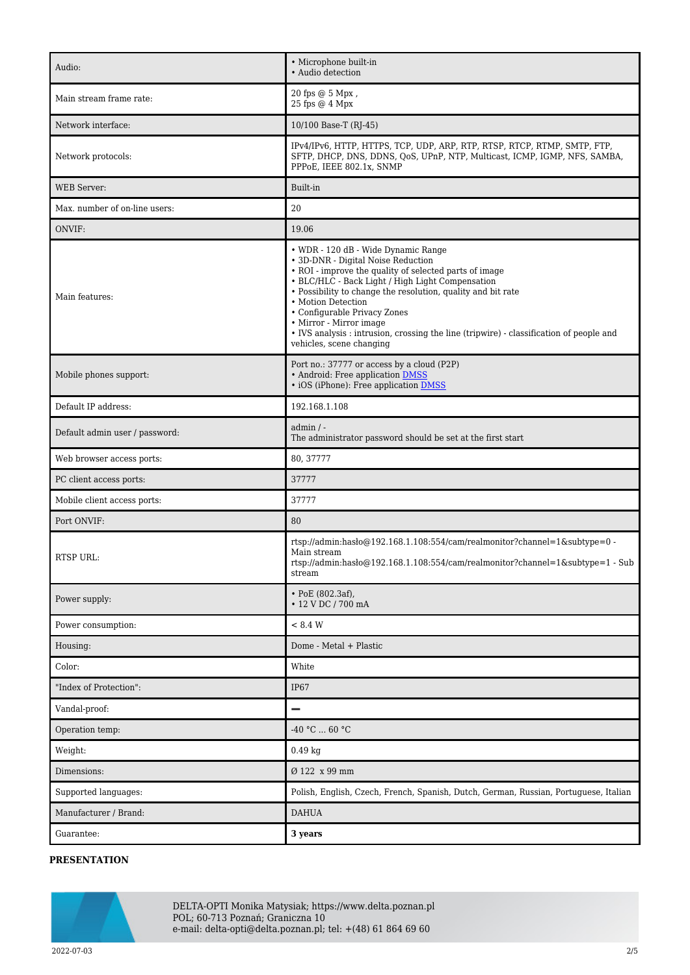| Audio:                         | • Microphone built-in<br>• Audio detection                                                                                                                                                                                                                                                                                                                                                                                                                      |
|--------------------------------|-----------------------------------------------------------------------------------------------------------------------------------------------------------------------------------------------------------------------------------------------------------------------------------------------------------------------------------------------------------------------------------------------------------------------------------------------------------------|
| Main stream frame rate:        | 20 fps @ 5 Mpx,<br>25 fps @ 4 Mpx                                                                                                                                                                                                                                                                                                                                                                                                                               |
| Network interface:             | 10/100 Base-T (RJ-45)                                                                                                                                                                                                                                                                                                                                                                                                                                           |
| Network protocols:             | IPv4/IPv6, HTTP, HTTPS, TCP, UDP, ARP, RTP, RTSP, RTCP, RTMP, SMTP, FTP,<br>SFTP, DHCP, DNS, DDNS, QoS, UPnP, NTP, Multicast, ICMP, IGMP, NFS, SAMBA,<br>PPPoE, IEEE 802.1x, SNMP                                                                                                                                                                                                                                                                               |
| WEB Server:                    | Built-in                                                                                                                                                                                                                                                                                                                                                                                                                                                        |
| Max. number of on-line users:  | $20\,$                                                                                                                                                                                                                                                                                                                                                                                                                                                          |
| ONVIF:                         | 19.06                                                                                                                                                                                                                                                                                                                                                                                                                                                           |
| Main features:                 | • WDR - 120 dB - Wide Dynamic Range<br>• 3D-DNR - Digital Noise Reduction<br>• ROI - improve the quality of selected parts of image<br>• BLC/HLC - Back Light / High Light Compensation<br>• Possibility to change the resolution, quality and bit rate<br>• Motion Detection<br>• Configurable Privacy Zones<br>• Mirror - Mirror image<br>• IVS analysis : intrusion, crossing the line (tripwire) - classification of people and<br>vehicles, scene changing |
| Mobile phones support:         | Port no.: 37777 or access by a cloud (P2P)<br>• Android: Free application DMSS<br>• iOS (iPhone): Free application DMSS                                                                                                                                                                                                                                                                                                                                         |
| Default IP address:            | 192.168.1.108                                                                                                                                                                                                                                                                                                                                                                                                                                                   |
| Default admin user / password: | $admin / -$<br>The administrator password should be set at the first start                                                                                                                                                                                                                                                                                                                                                                                      |
| Web browser access ports:      | 80, 37777                                                                                                                                                                                                                                                                                                                                                                                                                                                       |
| PC client access ports:        | 37777                                                                                                                                                                                                                                                                                                                                                                                                                                                           |
| Mobile client access ports:    | 37777                                                                                                                                                                                                                                                                                                                                                                                                                                                           |
| Port ONVIF:                    | 80                                                                                                                                                                                                                                                                                                                                                                                                                                                              |
| <b>RTSP URL:</b>               | rtsp://admin:hasło@192.168.1.108:554/cam/realmonitor?channel=1&subtype=0 -<br>Main stream<br>rtsp://admin:hasło@192.168.1.108:554/cam/realmonitor?channel=1&subtype=1 - Sub<br>stream                                                                                                                                                                                                                                                                           |
| Power supply:                  | $\cdot$ PoE (802.3af),<br>• 12 V DC / 700 mA                                                                                                                                                                                                                                                                                                                                                                                                                    |
| Power consumption:             | < 8.4 W                                                                                                                                                                                                                                                                                                                                                                                                                                                         |
| Housing:                       | Dome - Metal + Plastic                                                                                                                                                                                                                                                                                                                                                                                                                                          |
| Color:                         | White                                                                                                                                                                                                                                                                                                                                                                                                                                                           |
| "Index of Protection":         | IP <sub>67</sub>                                                                                                                                                                                                                                                                                                                                                                                                                                                |
| Vandal-proof:                  |                                                                                                                                                                                                                                                                                                                                                                                                                                                                 |
| Operation temp:                | $-40 °C  60 °C$                                                                                                                                                                                                                                                                                                                                                                                                                                                 |
| Weight:                        | $0.49$ kg                                                                                                                                                                                                                                                                                                                                                                                                                                                       |
| Dimensions:                    | Ø 122 x 99 mm                                                                                                                                                                                                                                                                                                                                                                                                                                                   |
| Supported languages:           | Polish, English, Czech, French, Spanish, Dutch, German, Russian, Portuguese, Italian                                                                                                                                                                                                                                                                                                                                                                            |
| Manufacturer / Brand:          | <b>DAHUA</b>                                                                                                                                                                                                                                                                                                                                                                                                                                                    |
| Guarantee:                     | 3 years                                                                                                                                                                                                                                                                                                                                                                                                                                                         |

## **PRESENTATION**



DELTA-OPTI Monika Matysiak; https://www.delta.poznan.pl POL; 60-713 Poznań; Graniczna 10 e-mail: delta-opti@delta.poznan.pl; tel: +(48) 61 864 69 60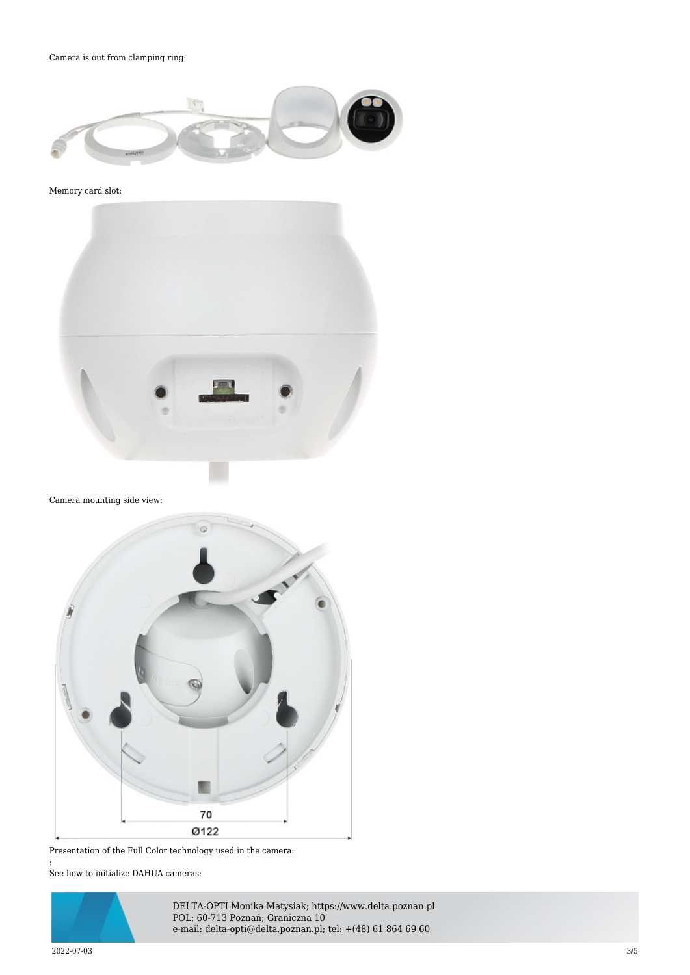Camera is out from clamping ring:



Memory card slot:



Camera mounting side view:



Presentation of the Full Color technology used in the camera: : See how to initialize DAHUA cameras:

DELTA-OPTI Monika Matysiak; https://www.delta.poznan.pl POL; 60-713 Poznań; Graniczna 10 e-mail: delta-opti@delta.poznan.pl; tel: +(48) 61 864 69 60

2022-07-03 3/5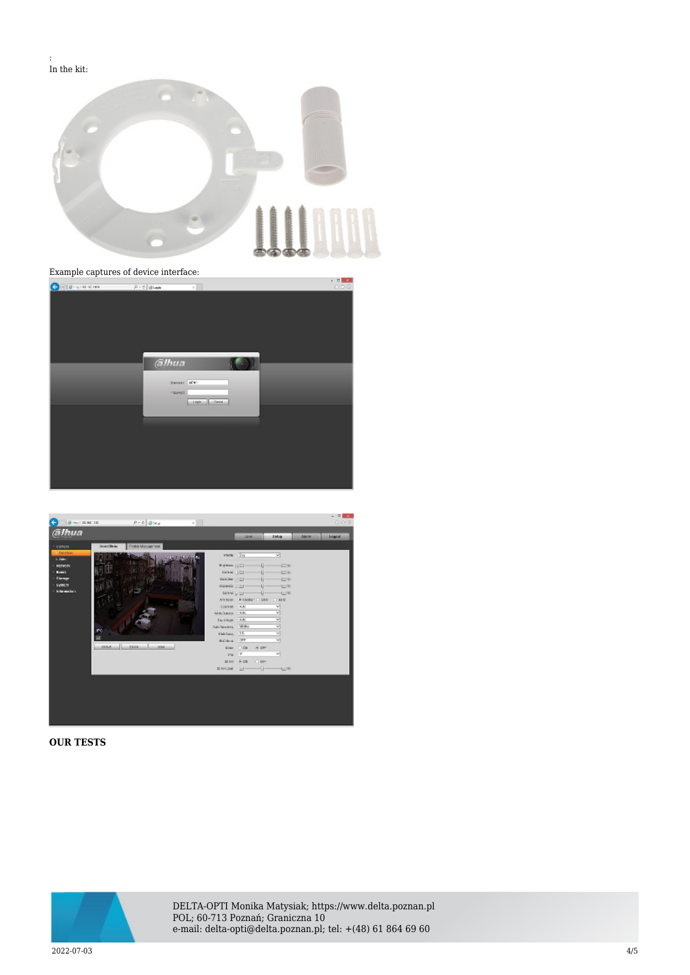: In the kit:



## Example captures of device interface:





## **OUR TESTS**



DELTA-OPTI Monika Matysiak; https://www.delta.poznan.pl POL; 60-713 Poznań; Graniczna 10 e-mail: delta-opti@delta.poznan.pl; tel: +(48) 61 864 69 60

2022-07-03 4/5